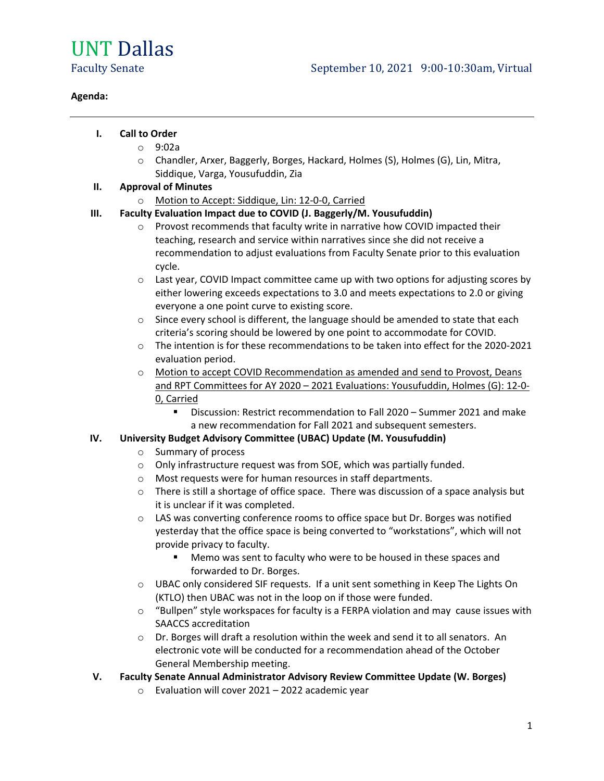# UNT Dallas

#### **Agenda:**

# **I. Call to Order**

- o 9:02a
- o Chandler, Arxer, Baggerly, Borges, Hackard, Holmes (S), Holmes (G), Lin, Mitra, Siddique, Varga, Yousufuddin, Zia

# **II. Approval of Minutes**

o Motion to Accept: Siddique, Lin: 12-0-0, Carried

# **III. Faculty Evaluation Impact due to COVID (J. Baggerly/M. Yousufuddin)**

- o Provost recommends that faculty write in narrative how COVID impacted their teaching, research and service within narratives since she did not receive a recommendation to adjust evaluations from Faculty Senate prior to this evaluation cycle.
- o Last year, COVID Impact committee came up with two options for adjusting scores by either lowering exceeds expectations to 3.0 and meets expectations to 2.0 or giving everyone a one point curve to existing score.
- $\circ$  Since every school is different, the language should be amended to state that each criteria's scoring should be lowered by one point to accommodate for COVID.
- o The intention is for these recommendations to be taken into effect for the 2020-2021 evaluation period.
- o Motion to accept COVID Recommendation as amended and send to Provost, Deans and RPT Committees for AY 2020 – 2021 Evaluations: Yousufuddin, Holmes (G): 12-0- 0, Carried
	- Discussion: Restrict recommendation to Fall 2020 Summer 2021 and make a new recommendation for Fall 2021 and subsequent semesters.

# **IV. University Budget Advisory Committee (UBAC) Update (M. Yousufuddin)**

- o Summary of process
- o Only infrastructure request was from SOE, which was partially funded.
- o Most requests were for human resources in staff departments.
- $\circ$  There is still a shortage of office space. There was discussion of a space analysis but it is unclear if it was completed.
- o LAS was converting conference rooms to office space but Dr. Borges was notified yesterday that the office space is being converted to "workstations", which will not provide privacy to faculty.
	- **Memo was sent to faculty who were to be housed in these spaces and** forwarded to Dr. Borges.
- o UBAC only considered SIF requests. If a unit sent something in Keep The Lights On (KTLO) then UBAC was not in the loop on if those were funded.
- o "Bullpen" style workspaces for faculty is a FERPA violation and may cause issues with SAACCS accreditation
- $\circ$  Dr. Borges will draft a resolution within the week and send it to all senators. An electronic vote will be conducted for a recommendation ahead of the October General Membership meeting.
- **V. Faculty Senate Annual Administrator Advisory Review Committee Update (W. Borges)**
	- o Evaluation will cover 2021 2022 academic year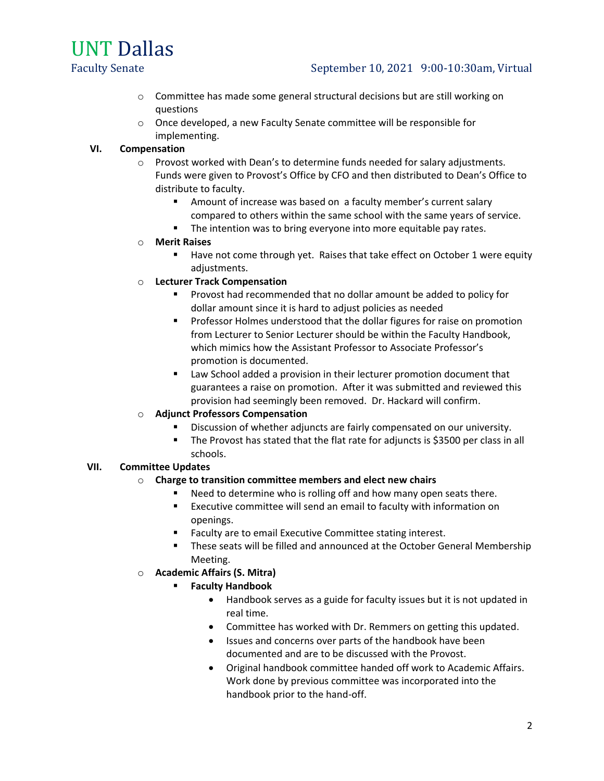UNT Dallas

# Faculty Senate September 10, 2021 9:00-10:30am, Virtual

- o Committee has made some general structural decisions but are still working on questions
- o Once developed, a new Faculty Senate committee will be responsible for implementing.

#### **VI. Compensation**

- o Provost worked with Dean's to determine funds needed for salary adjustments. Funds were given to Provost's Office by CFO and then distributed to Dean's Office to distribute to faculty.
	- **EXT** Amount of increase was based on a faculty member's current salary compared to others within the same school with the same years of service.
	- The intention was to bring everyone into more equitable pay rates.

#### o **Merit Raises**

- Have not come through yet. Raises that take effect on October 1 were equity adjustments.
- o **Lecturer Track Compensation**
	- **Provost had recommended that no dollar amount be added to policy for** dollar amount since it is hard to adjust policies as needed
	- **Professor Holmes understood that the dollar figures for raise on promotion** from Lecturer to Senior Lecturer should be within the Faculty Handbook, which mimics how the Assistant Professor to Associate Professor's promotion is documented.
	- **EXTER** Law School added a provision in their lecturer promotion document that guarantees a raise on promotion. After it was submitted and reviewed this provision had seemingly been removed. Dr. Hackard will confirm.

# o **Adjunct Professors Compensation**

- Discussion of whether adjuncts are fairly compensated on our university.
- The Provost has stated that the flat rate for adjuncts is \$3500 per class in all schools.

# **VII. Committee Updates**

#### o **Charge to transition committee members and elect new chairs**

- Need to determine who is rolling off and how many open seats there.
- Executive committee will send an email to faculty with information on openings.
- **Faculty are to email Executive Committee stating interest.**
- These seats will be filled and announced at the October General Membership Meeting.
- o **Academic Affairs (S. Mitra)**
	- **Faculty Handbook**
		- Handbook serves as a guide for faculty issues but it is not updated in real time.
		- Committee has worked with Dr. Remmers on getting this updated.
		- Issues and concerns over parts of the handbook have been documented and are to be discussed with the Provost.
		- Original handbook committee handed off work to Academic Affairs. Work done by previous committee was incorporated into the handbook prior to the hand-off.